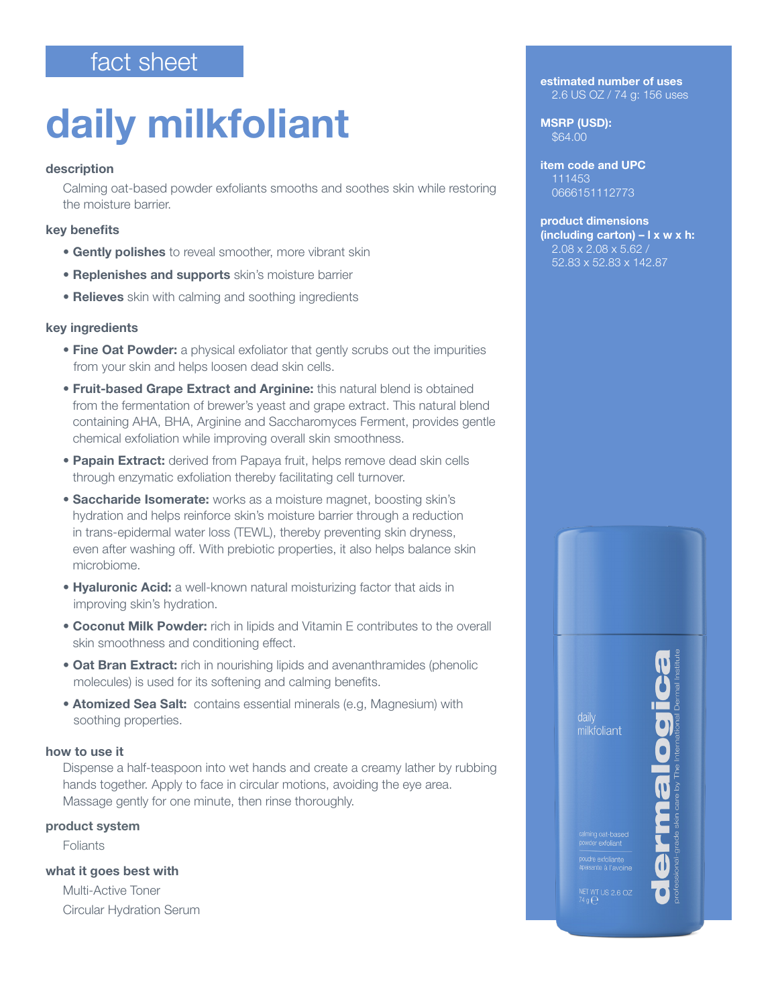## fact sheet

# daily milkfoliant

#### description

Calming oat-based powder exfoliants smooths and soothes skin while restoring the moisture barrier.

### key benefits

- **Gently polishes** to reveal smoother, more vibrant skin
- **Replenishes and supports** skin's moisture barrier
- Relieves skin with calming and soothing ingredients

#### key ingredients

- Fine Oat Powder: a physical exfoliator that gently scrubs out the impurities from your skin and helps loosen dead skin cells.
- Fruit-based Grape Extract and Arginine: this natural blend is obtained from the fermentation of brewer's yeast and grape extract. This natural blend containing AHA, BHA, Arginine and Saccharomyces Ferment, provides gentle chemical exfoliation while improving overall skin smoothness.
- **Papain Extract:** derived from Papaya fruit, helps remove dead skin cells through enzymatic exfoliation thereby facilitating cell turnover.
- Saccharide Isomerate: works as a moisture magnet, boosting skin's hydration and helps reinforce skin's moisture barrier through a reduction in trans-epidermal water loss (TEWL), thereby preventing skin dryness, even after washing off. With prebiotic properties, it also helps balance skin microbiome.
- Hyaluronic Acid: a well-known natural moisturizing factor that aids in improving skin's hydration.
- Coconut Milk Powder: rich in lipids and Vitamin E contributes to the overall skin smoothness and conditioning effect.
- Oat Bran Extract: rich in nourishing lipids and avenanthramides (phenolic molecules) is used for its softening and calming benefits.
- Atomized Sea Salt: contains essential minerals (e.g, Magnesium) with soothing properties.

#### how to use it

Dispense a half-teaspoon into wet hands and create a creamy lather by rubbing hands together. Apply to face in circular motions, avoiding the eye area. Massage gently for one minute, then rinse thoroughly.

#### product system

Foliants

what it goes best with

Multi-Active Toner Circular Hydration Serum estimated number of uses 2.6 US OZ / 74 g: 156 uses

MSRP (USD): \$64.00

Ī

item code and UPC 111453 0666151112773

product dimensions  $(including carton) - l x w x h:$ 2.08 x 2.08 x 5.62 52.83 x 52.83 x 142.87

milkfoliant



NET WT US 2.6 OZ<br>'4 n <del>∩</del>

calming oat-based<br>powder exfoliant .<br>paisante à l'avoine<br>paisante à l'avoine